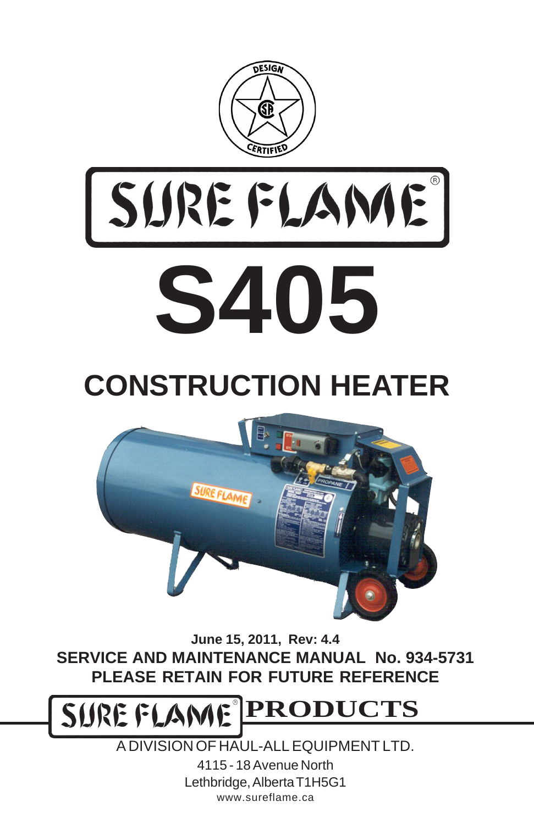



# **CONSTRUCTION HEATER**



**June 15, 2011, Rev: 4.4 SERVICE AND MAINTENANCE MANUAL No. 934-5731 PLEASE RETAIN FOR FUTURE REFERENCE**

**PRODUCTS** SURE FLAME®

> A DIVISION OF HAUL-ALL EQUIPMENT LTD. 4115 - 18 Avenue North Lethbridge, Alberta T1H5G1 www.sureflame.ca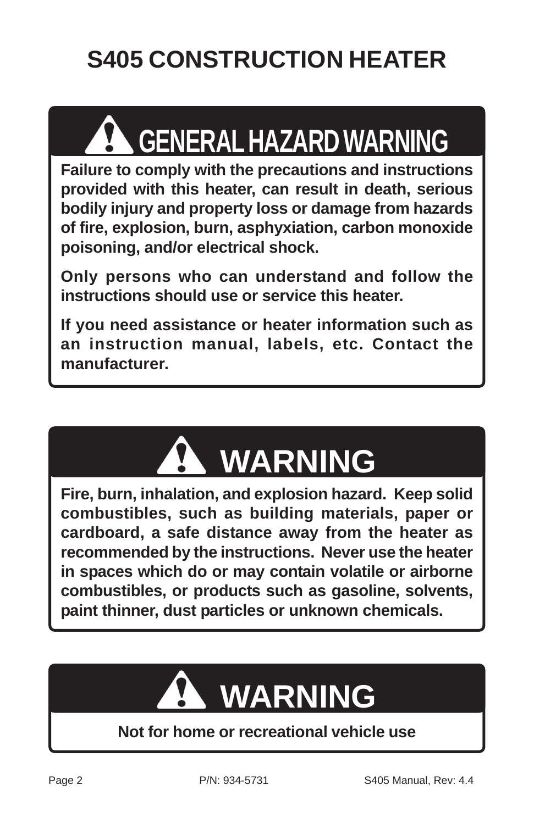# **S405 CONSTRUCTION HEATER**

# **GENERAL HAZARD WARNING**

**Failure to comply with the precautions and instructions provided with this heater, can result in death, serious bodily injury and property loss or damage from hazards of fire, explosion, burn, asphyxiation, carbon monoxide poisoning, and/or electrical shock.**

**Only persons who can understand and follow the instructions should use or service this heater.**

**If you need assistance or heater information such as an instruction manual, labels, etc. Contact the manufacturer.**



**Fire, burn, inhalation, and explosion hazard. Keep solid combustibles, such as building materials, paper or cardboard, a safe distance away from the heater as recommended by the instructions. Never use the heater in spaces which do or may contain volatile or airborne combustibles, or products such as gasoline, solvents, paint thinner, dust particles or unknown chemicals.**

# **WARNING**

#### **Not for home or recreational vehicle use**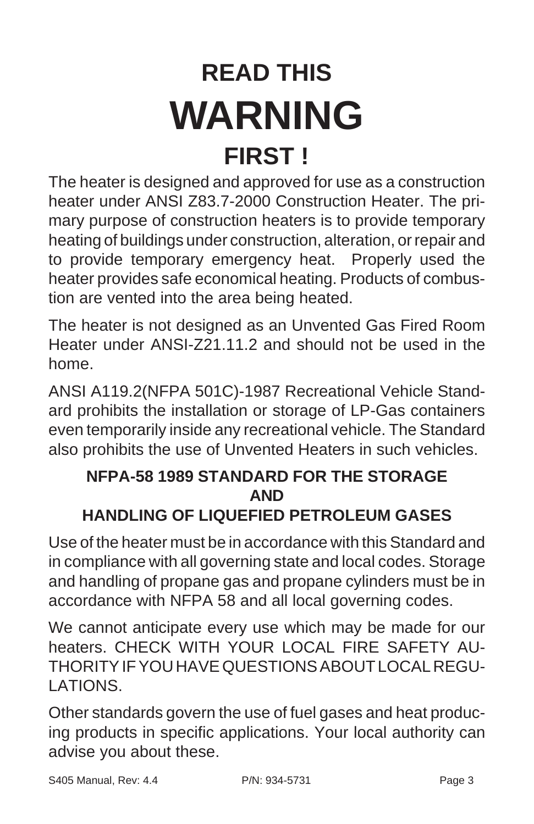# **READ THIS WARNING FIRST !**

The heater is designed and approved for use as a construction heater under ANSI Z83.7-2000 Construction Heater. The primary purpose of construction heaters is to provide temporary heating of buildings under construction, alteration, or repair and to provide temporary emergency heat. Properly used the heater provides safe economical heating. Products of combustion are vented into the area being heated.

The heater is not designed as an Unvented Gas Fired Room Heater under ANSI-Z21.11.2 and should not be used in the home.

ANSI A119.2(NFPA 501C)-1987 Recreational Vehicle Standard prohibits the installation or storage of LP-Gas containers even temporarily inside any recreational vehicle. The Standard also prohibits the use of Unvented Heaters in such vehicles.

#### **NFPA-58 1989 STANDARD FOR THE STORAGE AND HANDLING OF LIQUEFIED PETROLEUM GASES**

Use of the heater must be in accordance with this Standard and in compliance with all governing state and local codes. Storage and handling of propane gas and propane cylinders must be in accordance with NFPA 58 and all local governing codes.

We cannot anticipate every use which may be made for our heaters. CHECK WITH YOUR LOCAL FIRE SAFETY AU-THORITY IF YOU HAVE QUESTIONS ABOUT LOCAL REGU-LATIONS.

Other standards govern the use of fuel gases and heat producing products in specific applications. Your local authority can advise you about these.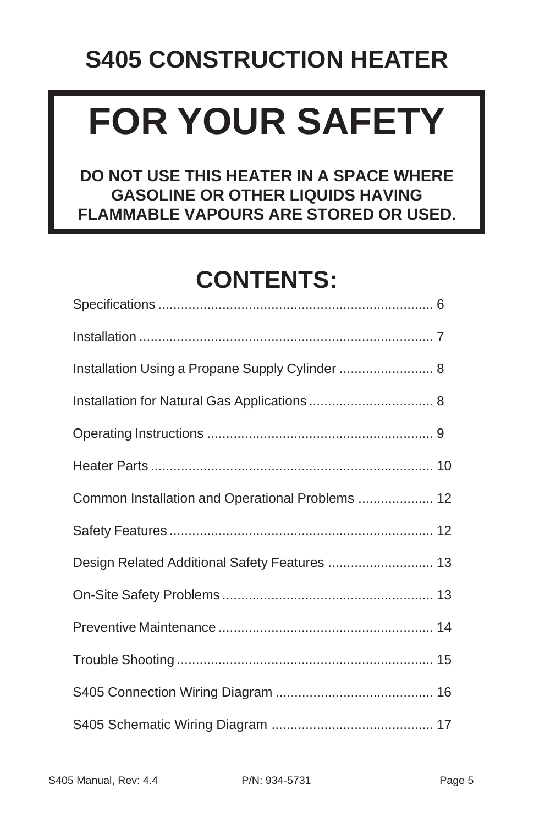## **S405 CONSTRUCTION HEATER**

# **FOR YOUR SAFETY**

**DO NOT USE THIS HEATER IN A SPACE WHERE GASOLINE OR OTHER LIQUIDS HAVING FLAMMABLE VAPOURS ARE STORED OR USED.**

#### **CONTENTS:**

| Installation Using a Propane Supply Cylinder  8  |  |
|--------------------------------------------------|--|
|                                                  |  |
|                                                  |  |
|                                                  |  |
| Common Installation and Operational Problems  12 |  |
|                                                  |  |
| Design Related Additional Safety Features  13    |  |
|                                                  |  |
|                                                  |  |
|                                                  |  |
|                                                  |  |
|                                                  |  |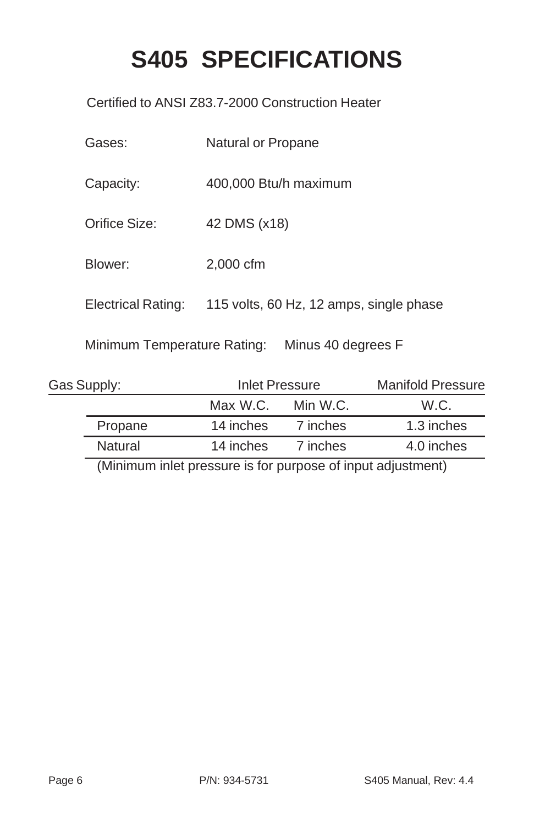## **S405 SPECIFICATIONS**

Certified to ANSI Z83.7-2000 Construction Heater

| Gases:                      | Natural or Propane                      |
|-----------------------------|-----------------------------------------|
| Capacity:                   | 400,000 Btu/h maximum                   |
| Orifice Size:               | 42 DMS (x18)                            |
| Blower:                     | 2,000 cfm                               |
| Electrical Rating:          | 115 volts, 60 Hz, 12 amps, single phase |
| Minimum Temperature Rating: | Minus 40 degrees F                      |

| Gas Supply: | Inlet Pressure |          | <b>Manifold Pressure</b> |
|-------------|----------------|----------|--------------------------|
|             | Max W.C.       | Min W.C. | W.C.                     |
| Propane     | 14 inches      | 7 inches | 1.3 inches               |
| Natural     | 14 inches      | 7 inches | 4.0 inches               |

(Minimum inlet pressure is for purpose of input adjustment)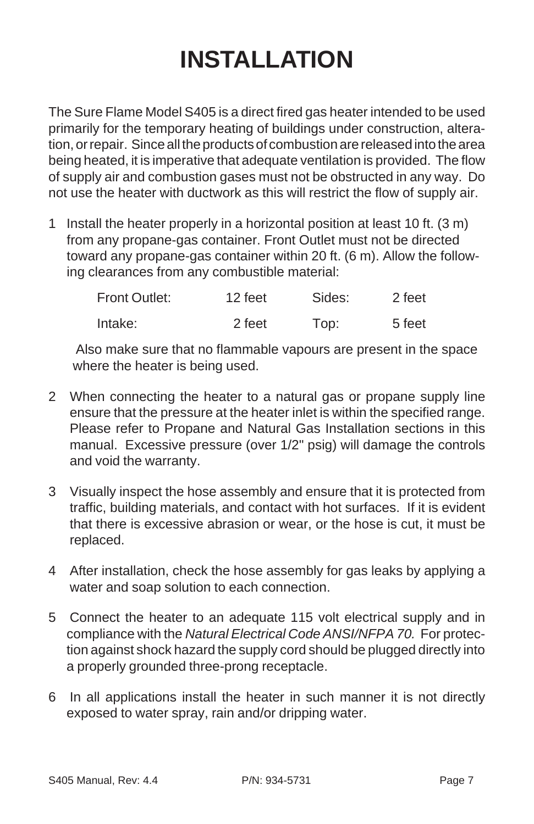### **INSTALLATION**

The Sure Flame Model S405 is a direct fired gas heater intended to be used primarily for the temporary heating of buildings under construction, alteration, or repair. Since all the products of combustion are released into the area being heated, it is imperative that adequate ventilation is provided. The flow of supply air and combustion gases must not be obstructed in any way. Do not use the heater with ductwork as this will restrict the flow of supply air.

1 Install the heater properly in a horizontal position at least 10 ft. (3 m) from any propane-gas container. Front Outlet must not be directed toward any propane-gas container within 20 ft. (6 m). Allow the following clearances from any combustible material:

| Front Outlet: | 12 feet | Sides: | 2 feet |
|---------------|---------|--------|--------|
| Intake:       | 2 feet  | Top:   | 5 feet |

Also make sure that no flammable vapours are present in the space where the heater is being used.

- 2 When connecting the heater to a natural gas or propane supply line ensure that the pressure at the heater inlet is within the specified range. Please refer to Propane and Natural Gas Installation sections in this manual. Excessive pressure (over 1/2" psig) will damage the controls and void the warranty.
- 3 Visually inspect the hose assembly and ensure that it is protected from traffic, building materials, and contact with hot surfaces. If it is evident that there is excessive abrasion or wear, or the hose is cut, it must be replaced.
- 4 After installation, check the hose assembly for gas leaks by applying a water and soap solution to each connection.
- 5 Connect the heater to an adequate 115 volt electrical supply and in compliance with the *Natural Electrical Code ANSI/NFPA 70.* For protection against shock hazard the supply cord should be plugged directly into a properly grounded three-prong receptacle.
- 6 In all applications install the heater in such manner it is not directly exposed to water spray, rain and/or dripping water.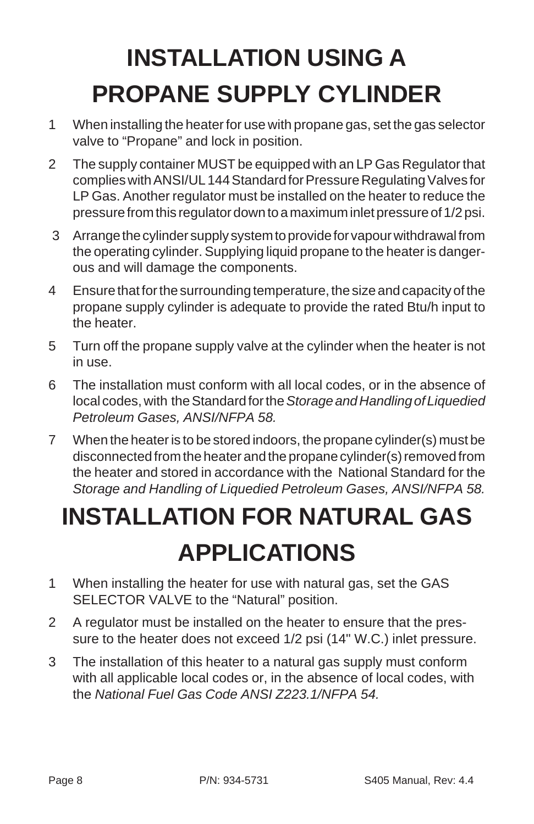# **INSTALLATION USING A PROPANE SUPPLY CYLINDER**

- 1 When installing the heater for use with propane gas, set the gas selector valve to "Propane" and lock in position.
- 2 The supply container MUST be equipped with an LP Gas Regulator that complies with ANSI/UL 144 Standard for Pressure Regulating Valves for LP Gas. Another regulator must be installed on the heater to reduce the pressure from this regulator down to a maximum inlet pressure of 1/2 psi.
- 3 Arrange the cylinder supply system to provide for vapour withdrawal from the operating cylinder. Supplying liquid propane to the heater is dangerous and will damage the components.
- 4 Ensure that for the surrounding temperature, the size and capacity of the propane supply cylinder is adequate to provide the rated Btu/h input to the heater.
- 5 Turn off the propane supply valve at the cylinder when the heater is not in use.
- 6 The installation must conform with all local codes, or in the absence of local codes, with the Standard for the *Storage and Handling of Liquedied Petroleum Gases, ANSI/NFPA 58.*
- 7 When the heater is to be stored indoors, the propane cylinder(s) must be disconnected from the heater and the propane cylinder(s) removed from the heater and stored in accordance with the National Standard for the *Storage and Handling of Liquedied Petroleum Gases, ANSI/NFPA 58.*

# **INSTALLATION FOR NATURAL GAS APPLICATIONS**

- 1 When installing the heater for use with natural gas, set the GAS SELECTOR VALVE to the "Natural" position.
- 2 A regulator must be installed on the heater to ensure that the pressure to the heater does not exceed 1/2 psi (14" W.C.) inlet pressure.
- 3 The installation of this heater to a natural gas supply must conform with all applicable local codes or, in the absence of local codes, with the *National Fuel Gas Code ANSI Z223.1/NFPA 54.*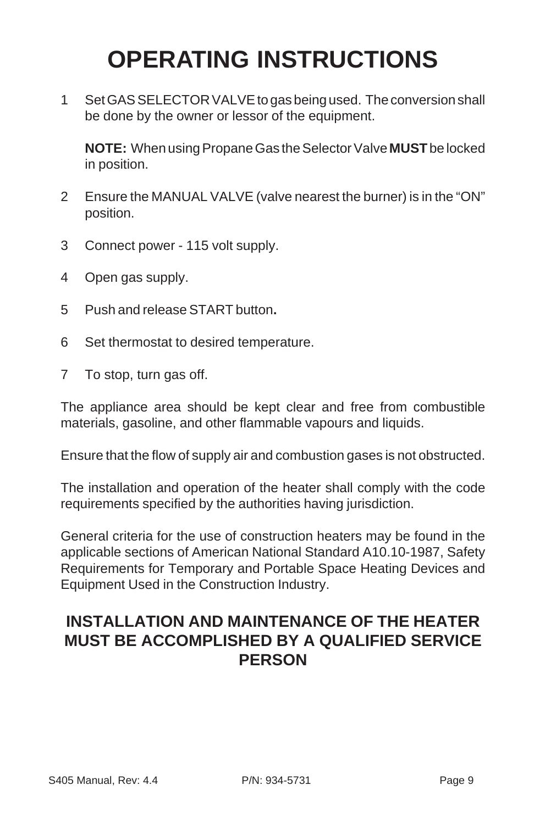### **OPERATING INSTRUCTIONS**

1 Set GAS SELECTOR VALVE to gas being used. The conversion shall be done by the owner or lessor of the equipment.

**NOTE:** When using Propane Gas the Selector Valve **MUST** be locked in position.

- 2 Ensure the MANUAL VALVE (valve nearest the burner) is in the "ON" position.
- 3 Connect power 115 volt supply.
- 4 Open gas supply.
- 5 Push and release START button**.**
- 6 Set thermostat to desired temperature.
- 7 To stop, turn gas off.

The appliance area should be kept clear and free from combustible materials, gasoline, and other flammable vapours and liquids.

Ensure that the flow of supply air and combustion gases is not obstructed.

The installation and operation of the heater shall comply with the code requirements specified by the authorities having jurisdiction.

General criteria for the use of construction heaters may be found in the applicable sections of American National Standard A10.10-1987, Safety Requirements for Temporary and Portable Space Heating Devices and Equipment Used in the Construction Industry.

#### **INSTALLATION AND MAINTENANCE OF THE HEATER MUST BE ACCOMPLISHED BY A QUALIFIED SERVICE PERSON**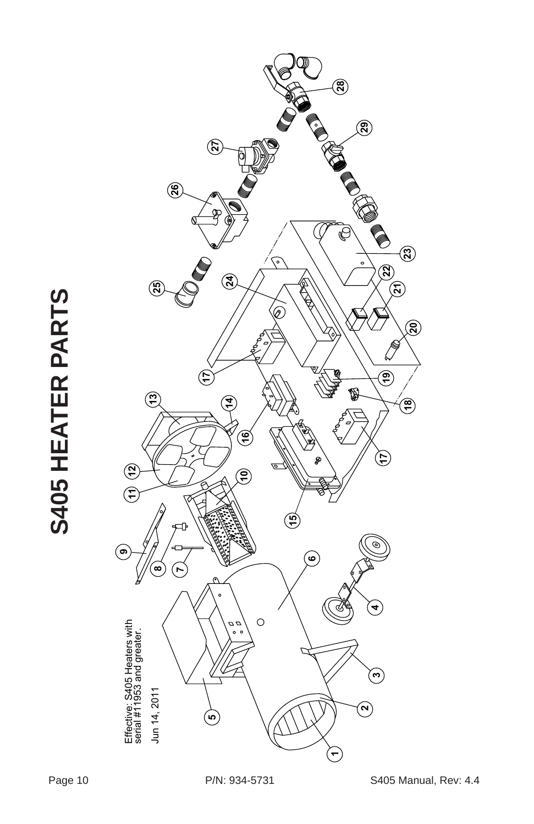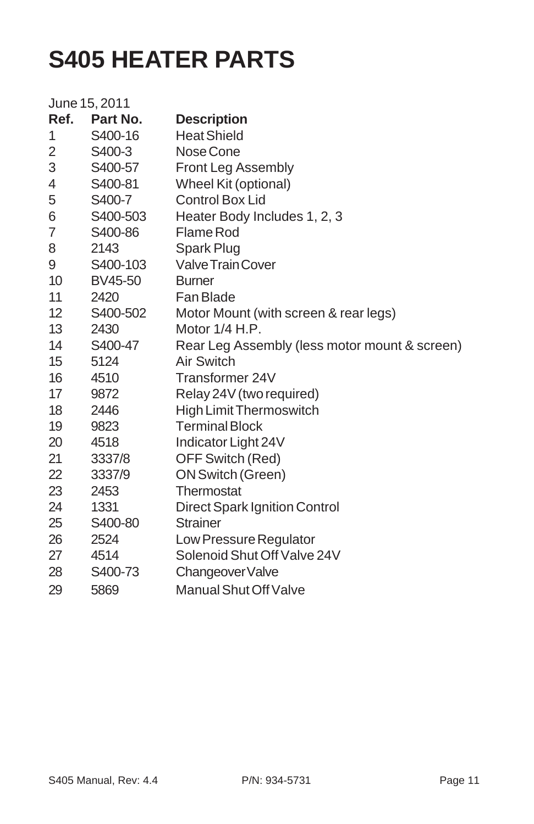### **S405 HEATER PARTS**

|      | June 15, 2011 |                                               |
|------|---------------|-----------------------------------------------|
| Ref. | Part No.      | <b>Description</b>                            |
| 1    | S400-16       | <b>Heat Shield</b>                            |
| 2    | S400-3        | Nose Cone                                     |
| 3    | S400-57       | Front Leg Assembly                            |
| 4    | S400-81       | Wheel Kit (optional)                          |
| 5    | S400-7        | <b>Control Box Lid</b>                        |
| 6    | S400-503      | Heater Body Includes 1, 2, 3                  |
| 7    | S400-86       | Flame Rod                                     |
| 8    | 2143          | Spark Plug                                    |
| 9    | S400-103      | <b>Valve Train Cover</b>                      |
| 10   | BV45-50       | <b>Burner</b>                                 |
| 11   | 2420          | Fan Blade                                     |
| 12   | S400-502      | Motor Mount (with screen & rear legs)         |
| 13   | 2430          | Motor 1/4 H.P.                                |
| 14   | S400-47       | Rear Leg Assembly (less motor mount & screen) |
| 15   | 5124          | Air Switch                                    |
| 16   | 4510          | Transformer 24V                               |
| 17   | 9872          | Relay 24V (two required)                      |
| 18   | 2446          | <b>High Limit Thermoswitch</b>                |
| 19   | 9823          | <b>Terminal Block</b>                         |
| 20   | 4518          | Indicator Light 24V                           |
| 21   | 3337/8        | OFF Switch (Red)                              |
| 22   | 3337/9        | ON Switch (Green)                             |
| 23   | 2453          | Thermostat                                    |
| 24   | 1331          | <b>Direct Spark Ignition Control</b>          |
| 25   | S400-80       | <b>Strainer</b>                               |
| 26   | 2524          | Low Pressure Regulator                        |
| 27   | 4514          | Solenoid Shut Off Valve 24V                   |
| 28   | S400-73       | Changeover Valve                              |
| 29   | 5869          | Manual Shut Off Valve                         |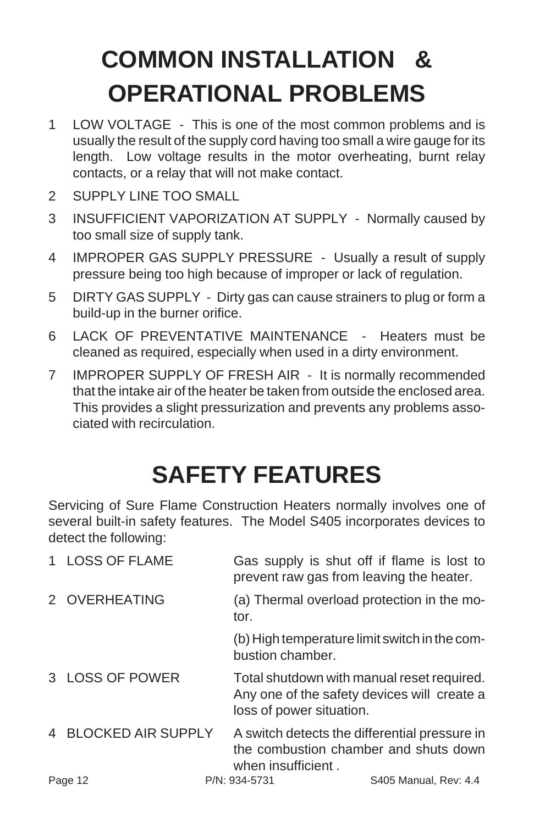# **COMMON INSTALLATION & OPERATIONAL PROBLEMS**

- 1 LOW VOLTAGE This is one of the most common problems and is usually the result of the supply cord having too small a wire gauge for its length. Low voltage results in the motor overheating, burnt relay contacts, or a relay that will not make contact.
- 2 SUPPLY LINE TOO SMALL
- 3 INSUFFICIENT VAPORIZATION AT SUPPLY Normally caused by too small size of supply tank.
- 4 IMPROPER GAS SUPPLY PRESSURE Usually a result of supply pressure being too high because of improper or lack of regulation.
- 5 DIRTY GAS SUPPLY Dirty gas can cause strainers to plug or form a build-up in the burner orifice.
- 6 LACK OF PREVENTATIVE MAINTENANCE Heaters must be cleaned as required, especially when used in a dirty environment.
- 7 IMPROPER SUPPLY OF FRESH AIR It is normally recommended that the intake air of the heater be taken from outside the enclosed area. This provides a slight pressurization and prevents any problems associated with recirculation.

### **SAFETY FEATURES**

Servicing of Sure Flame Construction Heaters normally involves one of several built-in safety features. The Model S405 incorporates devices to detect the following:

| 1 LOSS OF FLAME      | Gas supply is shut off if flame is lost to<br>prevent raw gas from leaving the heater.                                |
|----------------------|-----------------------------------------------------------------------------------------------------------------------|
| 2 OVERHEATING        | (a) Thermal overload protection in the mo-<br>tor.                                                                    |
|                      | (b) High temperature limit switch in the com-<br>bustion chamber.                                                     |
| 3 LOSS OF POWER      | Total shutdown with manual reset required.<br>Any one of the safety devices will create a<br>loss of power situation. |
| 4 BLOCKED AIR SUPPLY | A switch detects the differential pressure in<br>the combustion chamber and shuts down<br>when insufficient.          |
| Page 12              | S405 Manual, Rev: 4.4<br>P/N: 934-5731                                                                                |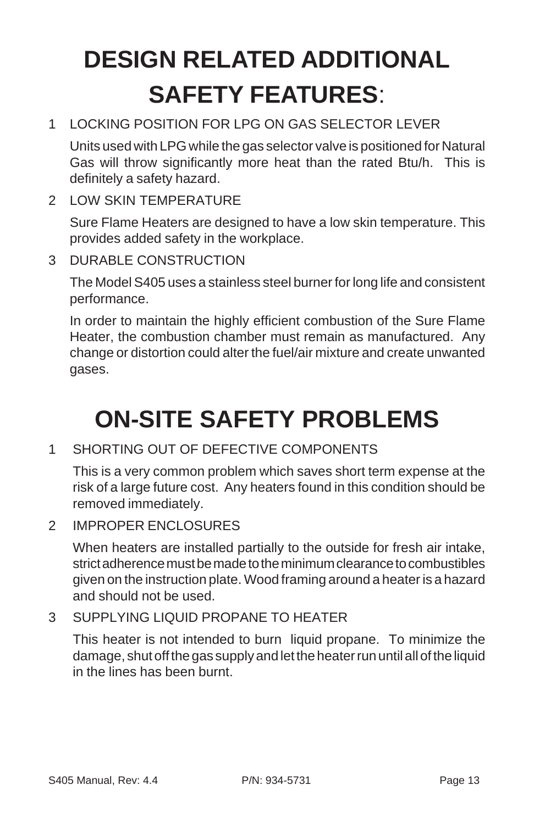# **DESIGN RELATED ADDITIONAL SAFETY FEATURES**:

1 LOCKING POSITION FOR LPG ON GAS SELECTOR LEVER

Units used with LPG while the gas selector valve is positioned for Natural Gas will throw significantly more heat than the rated Btu/h. This is definitely a safety hazard.

2 LOW SKIN TEMPERATURE

Sure Flame Heaters are designed to have a low skin temperature. This provides added safety in the workplace.

3 DURABLE CONSTRUCTION

The Model S405 uses a stainless steel burner for long life and consistent performance.

In order to maintain the highly efficient combustion of the Sure Flame Heater, the combustion chamber must remain as manufactured. Any change or distortion could alter the fuel/air mixture and create unwanted gases.

## **ON-SITE SAFETY PROBLEMS**

1 SHORTING OUT OF DEFECTIVE COMPONENTS

This is a very common problem which saves short term expense at the risk of a large future cost. Any heaters found in this condition should be removed immediately.

2 IMPROPER ENCLOSURES

When heaters are installed partially to the outside for fresh air intake, strict adherence must be made to the minimum clearance to combustibles given on the instruction plate. Wood framing around a heater is a hazard and should not be used.

3 SUPPLYING LIQUID PROPANE TO HEATER

This heater is not intended to burn liquid propane. To minimize the damage, shut off the gas supply and let the heater run until all of the liquid in the lines has been burnt.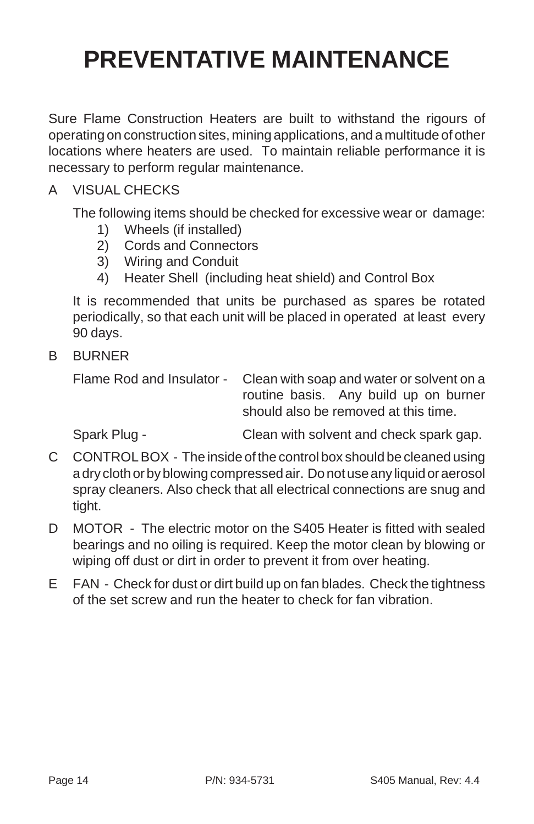## **PREVENTATIVE MAINTENANCE**

Sure Flame Construction Heaters are built to withstand the rigours of operating on construction sites, mining applications, and a multitude of other locations where heaters are used. To maintain reliable performance it is necessary to perform regular maintenance.

#### A VISUAL CHECKS

The following items should be checked for excessive wear or damage:

- 1) Wheels (if installed)
- 2) Cords and Connectors
- 3) Wiring and Conduit
- 4) Heater Shell (including heat shield) and Control Box

It is recommended that units be purchased as spares be rotated periodically, so that each unit will be placed in operated at least every 90 days.

B BURNER

Flame Rod and Insulator - Clean with soap and water or solvent on a routine basis. Any build up on burner should also be removed at this time.

Spark Plug - Clean with solvent and check spark gap.

- C CONTROL BOX The inside of the control box should be cleaned using a dry cloth or by blowing compressed air. Do not use any liquid or aerosol spray cleaners. Also check that all electrical connections are snug and tight.
- D MOTOR The electric motor on the S405 Heater is fitted with sealed bearings and no oiling is required. Keep the motor clean by blowing or wiping off dust or dirt in order to prevent it from over heating.
- E FAN Check for dust or dirt build up on fan blades. Check the tightness of the set screw and run the heater to check for fan vibration.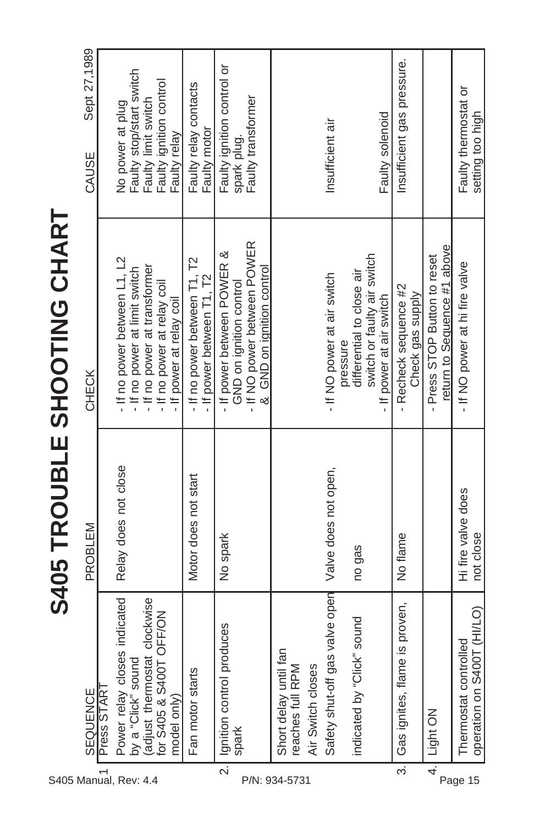| S405 Manual, Rev: 4.4    |                                                        |                                 | <b>S405 TROUBLE SHOOTING CHART</b>                                   |                                                 |
|--------------------------|--------------------------------------------------------|---------------------------------|----------------------------------------------------------------------|-------------------------------------------------|
|                          | SEQUENCE                                               | PROBLEM                         | CHECK                                                                | Sept 27,1989<br>CAUSE                           |
|                          | Press STAR <sup>-</sup>                                |                                 |                                                                      |                                                 |
|                          | Power relay closes indicated                           | Relay does not close            | - If no power between L1, L2                                         | No power at plug                                |
|                          | clockwise<br>by a "Click" sound<br>(adjust thermostat  |                                 | - If no power at limit switch<br>- If no power at transformer        | Faulty stop/start switch<br>Faulty limit switch |
|                          | <b>DFF/ON</b><br>for S405 & S400T                      |                                 | - If no power at relay coll                                          | Faulty ignition control                         |
|                          | model only)                                            |                                 | - If power at relay coil                                             | Faulty relay                                    |
|                          | Fan motor starts                                       | Motor does not start            | - If no power between T1, T2<br>- If power between T1, T2            | Faulty relay contacts<br>Faulty motor           |
| $\overline{\mathbf{a}}$  | Ignition control produces                              | No spark                        | - If power between POWER &                                           | Faulty ignition control or                      |
|                          | spark                                                  |                                 | GND on ignition control                                              | spark plug.                                     |
|                          |                                                        |                                 | - If NO power between POWER<br>& GND on ignition control             | Faulty transformer                              |
| P/N: 934-5731            | Short delay until far<br>reaches full RPM              |                                 |                                                                      |                                                 |
|                          | Air Switch closes                                      |                                 |                                                                      |                                                 |
|                          | Safety shut-off gas                                    | valve open Valve does not open, | - If NO power at air switch                                          | Insufficient air                                |
|                          | sound<br>indicated by "Click"                          | no gas                          | switch or faulty air switch<br>differential to close air<br>pressure |                                                 |
|                          |                                                        |                                 | - If power at air switch                                             | Faulty solenoid                                 |
| $\overline{\varepsilon}$ | s proven,<br>Gas ignites, flame i                      | No flame                        | - Recheck sequence #2<br>Check gas supply                            | Insufficient gas pressure.                      |
| $\frac{4}{1}$            | Light ON                                               |                                 | return to Sequence #1 above<br>- Press STOP Button to reset          |                                                 |
| Page 15                  | operation on S400T (HI/LO)<br>δ9<br>Thermostat control | Hi fire valve does<br>not close | If NO power at hi fire valve                                         | Faulty thermostat or<br>setting too high        |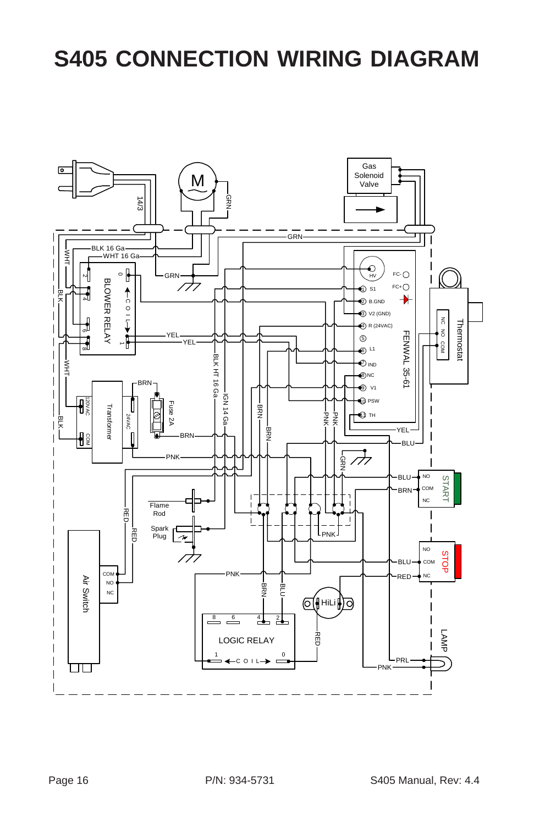#### **S405 CONNECTION WIRING DIAGRAM**